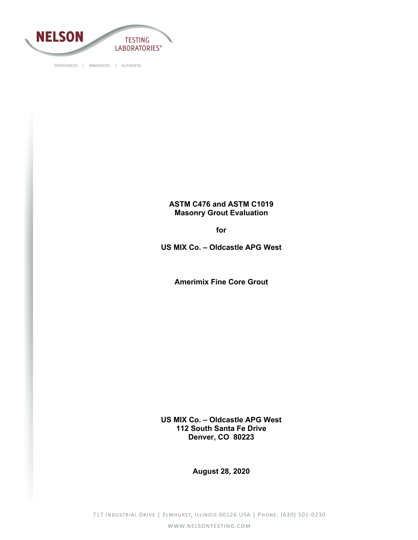

# **ASTM C476 and ASTM C1019 Masonry Grout Evaluation**

**for**

**US MIX Co. – Oldcastle APG West**

**Amerimix Fine Core Grout**

**US MIX Co. – Oldcastle APG West 112 South Santa Fe Drive Denver, CO 80223**

**August 28, 2020**

717 INDUSTRIAL DRIVE | ELMHURST, ILLINOIS 60126 USA | PHONE: (630) 501-0230 WWW.NELSONTESTING.COM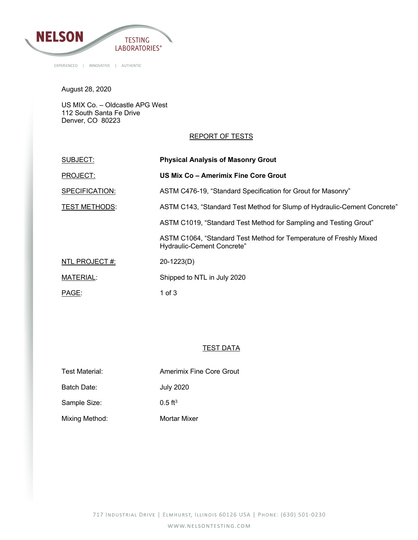

August 28, 2020

US MIX Co. – Oldcastle APG West 112 South Santa Fe Drive Denver, CO 80223

#### REPORT OF TESTS

| SUBJECT:             | <b>Physical Analysis of Masonry Grout</b>                                                        |
|----------------------|--------------------------------------------------------------------------------------------------|
| PROJECT:             | US Mix Co - Amerimix Fine Core Grout                                                             |
| SPECIFICATION:       | ASTM C476-19, "Standard Specification for Grout for Masonry"                                     |
| <b>TEST METHODS:</b> | ASTM C143, "Standard Test Method for Slump of Hydraulic-Cement Concrete"                         |
|                      | ASTM C1019, "Standard Test Method for Sampling and Testing Grout"                                |
|                      | ASTM C1064, "Standard Test Method for Temperature of Freshly Mixed<br>Hydraulic-Cement Concrete" |
| NTL PROJECT #:       | 20-1223(D)                                                                                       |
| <b>MATERIAL:</b>     | Shipped to NTL in July 2020                                                                      |
| PAGE:                | 1 of $3$                                                                                         |

## **TEST DATA**

Batch Date: July 2020

Sample Size: 0.5 ft<sup>3</sup>

Mixing Method: Mortar Mixer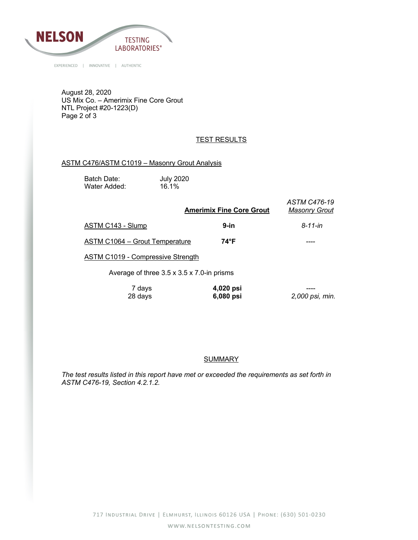

August 28, 2020 US Mix Co. – Amerimix Fine Core Grout NTL Project #20-1223(D) Page 2 of 3

# **TEST RESULTS**

## ASTM C476/ASTM C1019 – Masonry Grout Analysis

Batch Date: July 2020<br>Water Added: 16.1% Water Added:

| <b>Amerimix Fine Core Grout</b>            | ASTM C476-19<br><b>Masonry Grout</b> |
|--------------------------------------------|--------------------------------------|
| $9$ -in                                    | $8 - 11 - in$                        |
| 74°F<br>ASTM C1064 - Grout Temperature     |                                      |
| ASTM C1019 - Compressive Strength          |                                      |
| Average of three 3.5 x 3.5 x 7.0-in prisms |                                      |
| 4,020 psi                                  | 2,000 psi, min.                      |
|                                            | 6,080 psi                            |

#### **SUMMARY**

*The test results listed in this report have met or exceeded the requirements as set forth in ASTM C476-19, Section 4.2.1.2.*